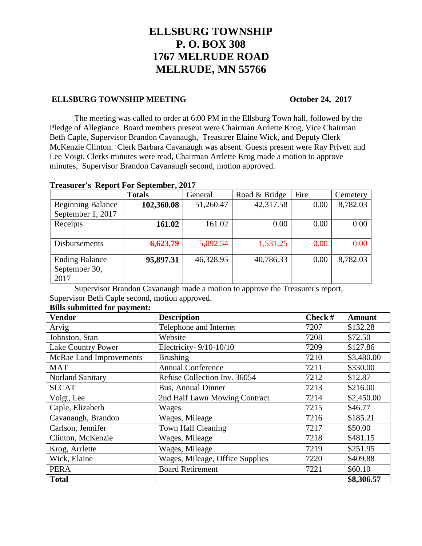# **ELLSBURG TOWNSHIP P. O. BOX 308 1767 MELRUDE ROAD MELRUDE, MN 55766**

## **ELLSBURG TOWNSHIP MEETING October 24, 2017**

The meeting was called to order at 6:00 PM in the Ellsburg Town hall, followed by the Pledge of Allegiance. Board members present were Chairman Arrlette Krog, Vice Chairman Beth Caple, Supervisor Brandon Cavanaugh, Treasurer Elaine Wick, and Deputy Clerk McKenzie Clinton. Clerk Barbara Cavanaugh was absent. Guests present were Ray Privett and Lee Voigt. Clerks minutes were read, Chairman Arrlette Krog made a motion to approve minutes, Supervisor Brandon Cavanaugh second, motion approved.

## **Treasurer's Report For September, 2017**

|                          | <b>Totals</b> | General   | Road & Bridge | Fire | Cemetery |
|--------------------------|---------------|-----------|---------------|------|----------|
| <b>Beginning Balance</b> | 102,360.08    | 51,260.47 | 42,317.58     | 0.00 | 8,782.03 |
| September 1, 2017        |               |           |               |      |          |
| Receipts                 | 161.02        | 161.02    | 0.00          | 0.00 | 0.00     |
|                          |               |           |               |      |          |
| Disbursements            | 6,623.79      | 5,092.54  | 1,531.25      | 0.00 | 0.00     |
|                          |               |           |               |      |          |
| <b>Ending Balance</b>    | 95,897.31     | 46,328.95 | 40,786.33     | 0.00 | 8,782.03 |
| September 30,            |               |           |               |      |          |
| 2017                     |               |           |               |      |          |

Supervisor Brandon Cavanaugh made a motion to approve the Treasurer's report, Supervisor Beth Caple second, motion approved.

| <b>Vendor</b>             | <b>Description</b>              | Check $#$ | <b>Amount</b> |
|---------------------------|---------------------------------|-----------|---------------|
| Arvig                     | Telephone and Internet          | 7207      | \$132.28      |
| Johnston, Stan            | Website                         | 7208      | \$72.50       |
| <b>Lake Country Power</b> | Electricity-9/10-10/10          | 7209      | \$127.86      |
| McRae Land Improvements   | <b>Brushing</b>                 | 7210      | \$3,480.00    |
| <b>MAT</b>                | <b>Annual Conference</b>        | 7211      | \$330.00      |
| <b>Norland Sanitary</b>   | Refuse Collection Inv. 36054    | 7212      | \$12.87       |
| <b>SLCAT</b>              | <b>Bus, Annual Dinner</b>       | 7213      | \$216.00      |
| Voigt, Lee                | 2nd Half Lawn Mowing Contract   | 7214      | \$2,450.00    |
| Caple, Elizabeth          | Wages                           | 7215      | \$46.77       |
| Cavanaugh, Brandon        | Wages, Mileage                  | 7216      | \$185.21      |
| Carlson, Jennifer         | Town Hall Cleaning              | 7217      | \$50.00       |
| Clinton, McKenzie         | Wages, Mileage                  | 7218      | \$481.15      |
| Krog, Arrlette            | Wages, Mileage                  | 7219      | \$251.95      |
| Wick, Elaine              | Wages, Mileage, Office Supplies | 7220      | \$409.88      |
| <b>PERA</b>               | <b>Board Retirement</b>         | 7221      | \$60.10       |
| <b>Total</b>              |                                 |           | \$8,306.57    |

## **Bills submitted for payment:**